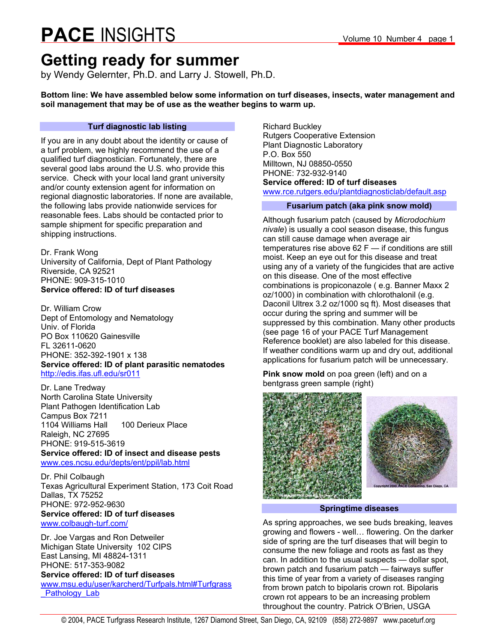### **Getting ready for summer**

by Wendy Gelernter, Ph.D. and Larry J. Stowell, Ph.D.

**Bottom line: We have assembled below some information on turf diseases, insects, water management and soil management that may be of use as the weather begins to warm up.** 

#### **Turf diagnostic lab listing**

If you are in any doubt about the identity or cause of a turf problem, we highly recommend the use of a qualified turf diagnostician. Fortunately, there are several good labs around the U.S. who provide this service. Check with your local land grant university and/or county extension agent for information on regional diagnostic laboratories. If none are available, the following labs provide nationwide services for reasonable fees. Labs should be contacted prior to sample shipment for specific preparation and shipping instructions.

Dr. Frank Wong University of California, Dept of Plant Pathology Riverside, CA 92521 PHONE: 909-315-1010 **Service offered: ID of turf diseases**

Dr. William Crow Dept of Entomology and Nematology Univ. of Florida PO Box 110620 Gainesville FL 32611-0620 PHONE: 352-392-1901 x 138 **Service offered: ID of plant parasitic nematodes**  http://edis.ifas.ufl.edu/sr011

Dr. Lane Tredway North Carolina State University Plant Pathogen Identification Lab Campus Box 7211 1104 Williams Hall 100 Derieux Place Raleigh, NC 27695 PHONE: 919-515-3619 **Service offered: ID of insect and disease pests**  www.ces.ncsu.edu/depts/ent/ppil/lab.html

Dr. Phil Colbaugh Texas Agricultural Experiment Station, 173 Coit Road Dallas, TX 75252 PHONE: 972-952-9630 **Service offered: ID of turf diseases**  www.colbaugh-turf.com/

Dr. Joe Vargas and Ron Detweiler Michigan State University 102 CIPS East Lansing, MI 48824-1311 PHONE: 517-353-9082 **Service offered: ID of turf diseases**  www.msu.edu/user/karcherd/Turfpals.html#Turfgrass Pathology Lab

Richard Buckley Rutgers Cooperative Extension Plant Diagnostic Laboratory P.O. Box 550 Milltown, NJ 08850-0550 PHONE: 732-932-9140 **Service offered: ID of turf diseases**  www.rce.rutgers.edu/plantdiagnosticlab/default.asp

#### **Fusarium patch (aka pink snow mold)**

Although fusarium patch (caused by *Microdochium nivale*) is usually a cool season disease, this fungus can still cause damage when average air temperatures rise above 62 F — if conditions are still moist. Keep an eye out for this disease and treat using any of a variety of the fungicides that are active on this disease. One of the most effective combinations is propiconazole ( e.g. Banner Maxx 2 oz/1000) in combination with chlorothalonil (e.g. Daconil Ultrex 3.2 oz/1000 sq ft). Most diseases that occur during the spring and summer will be suppressed by this combination. Many other products (see page 16 of your PACE Turf Management Reference booklet) are also labeled for this disease. If weather conditions warm up and dry out, additional applications for fusarium patch will be unnecessary.

**Pink snow mold** on poa green (left) and on a bentgrass green sample (right)



**Springtime diseases** 

As spring approaches, we see buds breaking, leaves growing and flowers - well… flowering. On the darker side of spring are the turf diseases that will begin to consume the new foliage and roots as fast as they can. In addition to the usual suspects — dollar spot, brown patch and fusarium patch — fairways suffer this time of year from a variety of diseases ranging from brown patch to bipolaris crown rot. Bipolaris crown rot appears to be an increasing problem throughout the country. Patrick O'Brien, USGA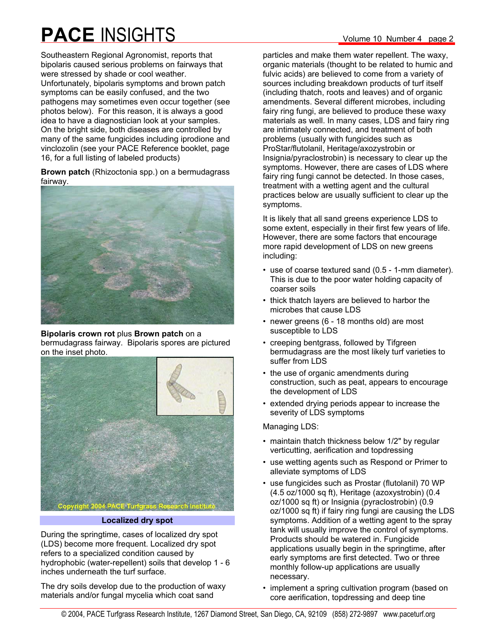Southeastern Regional Agronomist, reports that bipolaris caused serious problems on fairways that were stressed by shade or cool weather. Unfortunately, bipolaris symptoms and brown patch symptoms can be easily confused, and the two pathogens may sometimes even occur together (see photos below). For this reason, it is always a good idea to have a diagnostician look at your samples. On the bright side, both diseases are controlled by many of the same fungicides including iprodione and vinclozolin (see your PACE Reference booklet, page 16, for a full listing of labeled products)

**Brown patch** (Rhizoctonia spp.) on a bermudagrass fairway.



#### **Bipolaris crown rot** plus **Brown patch** on a bermudagrass fairway. Bipolaris spores are pictured on the inset photo.



**Localized dry spot** 

During the springtime, cases of localized dry spot (LDS) become more frequent. Localized dry spot refers to a specialized condition caused by hydrophobic (water-repellent) soils that develop 1 - 6 inches underneath the turf surface.

The dry soils develop due to the production of waxy materials and/or fungal mycelia which coat sand

particles and make them water repellent. The waxy, organic materials (thought to be related to humic and fulvic acids) are believed to come from a variety of sources including breakdown products of turf itself (including thatch, roots and leaves) and of organic amendments. Several different microbes, including fairy ring fungi, are believed to produce these waxy materials as well. In many cases, LDS and fairy ring are intimately connected, and treatment of both problems (usually with fungicides such as ProStar/flutolanil, Heritage/axozystrobin or Insignia/pyraclostrobin) is necessary to clear up the symptoms. However, there are cases of LDS where fairy ring fungi cannot be detected. In those cases, treatment with a wetting agent and the cultural practices below are usually sufficient to clear up the symptoms.

It is likely that all sand greens experience LDS to some extent, especially in their first few years of life. However, there are some factors that encourage more rapid development of LDS on new greens including:

- use of coarse textured sand (0.5 1-mm diameter). This is due to the poor water holding capacity of coarser soils
- thick thatch layers are believed to harbor the microbes that cause LDS
- newer greens (6 18 months old) are most susceptible to LDS
- creeping bentgrass, followed by Tifgreen bermudagrass are the most likely turf varieties to suffer from LDS
- the use of organic amendments during construction, such as peat, appears to encourage the development of LDS
- extended drying periods appear to increase the severity of LDS symptoms

### Managing LDS:

- maintain thatch thickness below 1/2" by regular verticutting, aerification and topdressing
- use wetting agents such as Respond or Primer to alleviate symptoms of LDS
- use fungicides such as Prostar (flutolanil) 70 WP (4.5 oz/1000 sq ft), Heritage (azoxystrobin) (0.4 oz/1000 sq ft) or Insignia (pyraclostrobin) (0.9 oz/1000 sq ft) if fairy ring fungi are causing the LDS symptoms. Addition of a wetting agent to the spray tank will usually improve the control of symptoms. Products should be watered in. Fungicide applications usually begin in the springtime, after early symptoms are first detected. Two or three monthly follow-up applications are usually necessary.
- implement a spring cultivation program (based on core aerification, topdressing and deep tine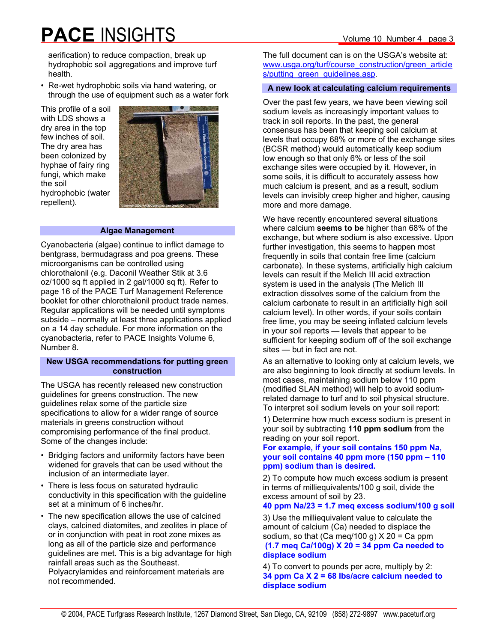aerification) to reduce compaction, break up hydrophobic soil aggregations and improve turf health.

• Re-wet hydrophobic soils via hand watering, or through the use of equipment such as a water fork

This profile of a soil with LDS shows a dry area in the top few inches of soil. The dry area has been colonized by hyphae of fairy ring fungi, which make the soil hydrophobic (water repellent).



#### **Algae Management**

Cyanobacteria (algae) continue to inflict damage to bentgrass, bermudagrass and poa greens. These microorganisms can be controlled using chlorothalonil (e.g. Daconil Weather Stik at 3.6 oz/1000 sq ft applied in 2 gal/1000 sq ft). Refer to page 16 of the PACE Turf Management Reference booklet for other chlorothalonil product trade names. Regular applications will be needed until symptoms subside – normally at least three applications applied on a 14 day schedule. For more information on the cyanobacteria, refer to PACE Insights Volume 6, Number 8.

#### **New USGA recommendations for putting green construction**

The USGA has recently released new construction guidelines for greens construction. The new guidelines relax some of the particle size specifications to allow for a wider range of source materials in greens construction without compromising performance of the final product. Some of the changes include:

- Bridging factors and uniformity factors have been widened for gravels that can be used without the inclusion of an intermediate layer.
- There is less focus on saturated hydraulic conductivity in this specification with the guideline set at a minimum of 6 inches/hr.
- The new specification allows the use of calcined clays, calcined diatomites, and zeolites in place of or in conjunction with peat in root zone mixes as long as all of the particle size and performance guidelines are met. This is a big advantage for high rainfall areas such as the Southeast. Polyacrylamides and reinforcement materials are not recommended.

The full document can is on the USGA's website at: www.usga.org/turf/course\_construction/green\_article s/putting\_green\_guidelines.asp.

#### **A new look at calculating calcium requirements**

Over the past few years, we have been viewing soil sodium levels as increasingly important values to track in soil reports. In the past, the general consensus has been that keeping soil calcium at levels that occupy 68% or more of the exchange sites (BCSR method) would automatically keep sodium low enough so that only 6% or less of the soil exchange sites were occupied by it. However, in some soils, it is difficult to accurately assess how much calcium is present, and as a result, sodium levels can invisibly creep higher and higher, causing more and more damage.

We have recently encountered several situations where calcium **seems to be** higher than 68% of the exchange, but where sodium is also excessive. Upon further investigation, this seems to happen most frequently in soils that contain free lime (calcium carbonate). In these systems, artificially high calcium levels can result if the Melich III acid extraction system is used in the analysis (The Melich III extraction dissolves some of the calcium from the calcium carbonate to result in an artificially high soil calcium level). In other words, if your soils contain free lime, you may be seeing inflated calcium levels in your soil reports — levels that appear to be sufficient for keeping sodium off of the soil exchange sites — but in fact are not.

As an alternative to looking only at calcium levels, we are also beginning to look directly at sodium levels. In most cases, maintaining sodium below 110 ppm (modified SLAN method) will help to avoid sodiumrelated damage to turf and to soil physical structure. To interpret soil sodium levels on your soil report:

1) Determine how much excess sodium is present in your soil by subtracting **110 ppm sodium** from the reading on your soil report.

#### **For example, if your soil contains 150 ppm Na, your soil contains 40 ppm more (150 ppm – 110 ppm) sodium than is desired.**

2) To compute how much excess sodium is present in terms of milliequivalents/100 g soil, divide the excess amount of soil by 23.

#### **40 ppm Na/23 = 1.7 meq excess sodium/100 g soil**

3) Use the milliequivalent value to calculate the amount of calcium (Ca) needed to displace the sodium, so that  $(Ca \text{ meg}/100 g)$  X 20 = Ca ppm  **(1.7 meq Ca/100g) X 20 = 34 ppm Ca needed to displace sodium**

4) To convert to pounds per acre, multiply by 2: **34 ppm Ca X 2 = 68 lbs/acre calcium needed to displace sodium**